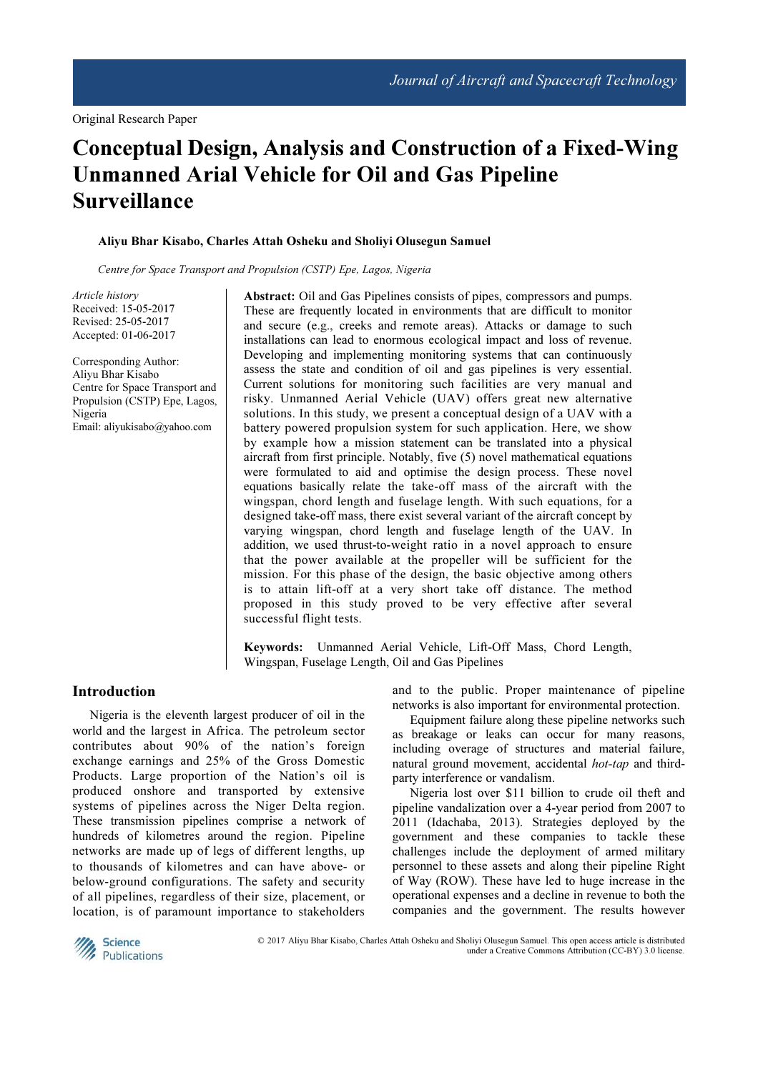# Conceptual Design, Analysis and Construction of a Fixed-Wing Unmanned Arial Vehicle for Oil and Gas Pipeline Surveillance

#### Aliyu Bhar Kisabo, Charles Attah Osheku and Sholiyi Olusegun Samuel

Centre for Space Transport and Propulsion (CSTP) Epe, Lagos, Nigeria

Article history Received: 15-05-2017 Revised: 25-05-2017 Accepted: 01-06-2017

Corresponding Author: Aliyu Bhar Kisabo Centre for Space Transport and Propulsion (CSTP) Epe, Lagos, Nigeria Email: aliyukisabo@yahoo.com

Abstract: Oil and Gas Pipelines consists of pipes, compressors and pumps. These are frequently located in environments that are difficult to monitor and secure (e.g., creeks and remote areas). Attacks or damage to such installations can lead to enormous ecological impact and loss of revenue. Developing and implementing monitoring systems that can continuously assess the state and condition of oil and gas pipelines is very essential. Current solutions for monitoring such facilities are very manual and risky. Unmanned Aerial Vehicle (UAV) offers great new alternative solutions. In this study, we present a conceptual design of a UAV with a battery powered propulsion system for such application. Here, we show by example how a mission statement can be translated into a physical aircraft from first principle. Notably, five (5) novel mathematical equations were formulated to aid and optimise the design process. These novel equations basically relate the take-off mass of the aircraft with the wingspan, chord length and fuselage length. With such equations, for a designed take-off mass, there exist several variant of the aircraft concept by varying wingspan, chord length and fuselage length of the UAV. In addition, we used thrust-to-weight ratio in a novel approach to ensure that the power available at the propeller will be sufficient for the mission. For this phase of the design, the basic objective among others is to attain lift-off at a very short take off distance. The method proposed in this study proved to be very effective after several successful flight tests.

Keywords: Unmanned Aerial Vehicle, Lift-Off Mass, Chord Length, Wingspan, Fuselage Length, Oil and Gas Pipelines

## Introduction

Nigeria is the eleventh largest producer of oil in the world and the largest in Africa. The petroleum sector contributes about 90% of the nation's foreign exchange earnings and 25% of the Gross Domestic Products. Large proportion of the Nation's oil is produced onshore and transported by extensive systems of pipelines across the Niger Delta region. These transmission pipelines comprise a network of hundreds of kilometres around the region. Pipeline networks are made up of legs of different lengths, up to thousands of kilometres and can have above- or below-ground configurations. The safety and security of all pipelines, regardless of their size, placement, or location, is of paramount importance to stakeholders

and to the public. Proper maintenance of pipeline networks is also important for environmental protection.

Equipment failure along these pipeline networks such as breakage or leaks can occur for many reasons, including overage of structures and material failure, natural ground movement, accidental hot-tap and thirdparty interference or vandalism.

Nigeria lost over \$11 billion to crude oil theft and pipeline vandalization over a 4-year period from 2007 to 2011 (Idachaba, 2013). Strategies deployed by the government and these companies to tackle these challenges include the deployment of armed military personnel to these assets and along their pipeline Right of Way (ROW). These have led to huge increase in the operational expenses and a decline in revenue to both the companies and the government. The results however



 © 2017 Aliyu Bhar Kisabo, Charles Attah Osheku and Sholiyi Olusegun Samuel. This open access article is distributed under a Creative Commons Attribution (CC-BY) 3.0 license.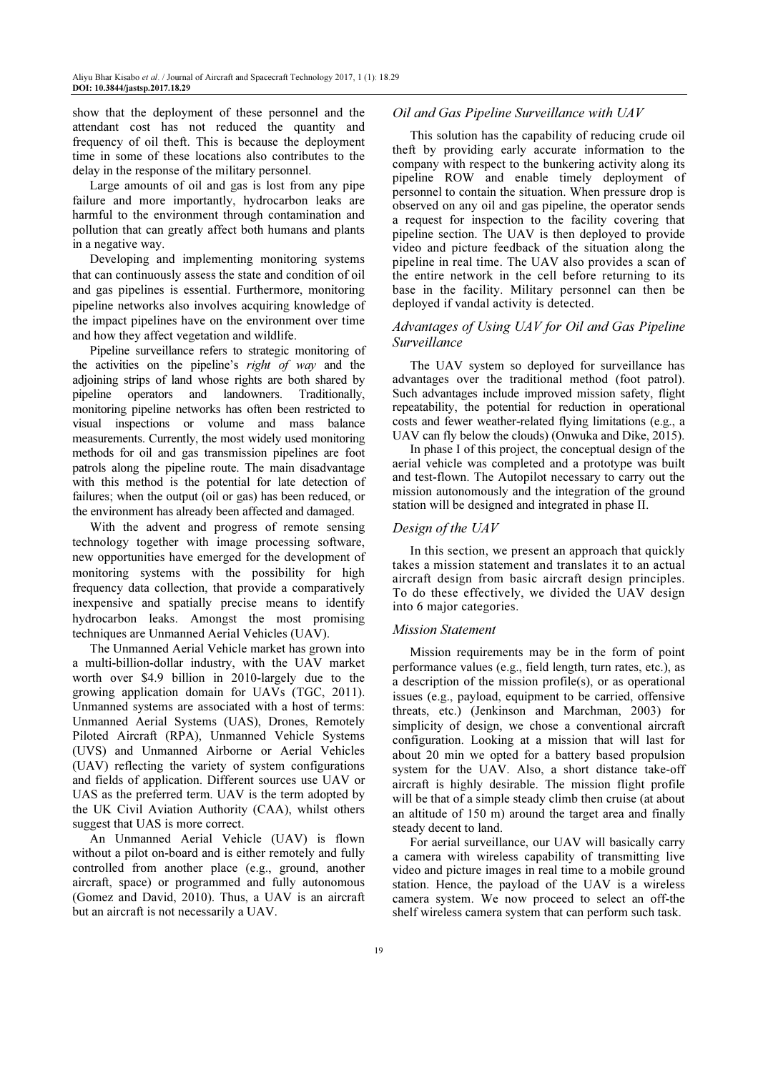show that the deployment of these personnel and the attendant cost has not reduced the quantity and frequency of oil theft. This is because the deployment time in some of these locations also contributes to the delay in the response of the military personnel.

Large amounts of oil and gas is lost from any pipe failure and more importantly, hydrocarbon leaks are harmful to the environment through contamination and pollution that can greatly affect both humans and plants in a negative way.

Developing and implementing monitoring systems that can continuously assess the state and condition of oil and gas pipelines is essential. Furthermore, monitoring pipeline networks also involves acquiring knowledge of the impact pipelines have on the environment over time and how they affect vegetation and wildlife.

Pipeline surveillance refers to strategic monitoring of the activities on the pipeline's right of way and the adjoining strips of land whose rights are both shared by pipeline operators and landowners. Traditionally, monitoring pipeline networks has often been restricted to visual inspections or volume and mass balance measurements. Currently, the most widely used monitoring methods for oil and gas transmission pipelines are foot patrols along the pipeline route. The main disadvantage with this method is the potential for late detection of failures; when the output (oil or gas) has been reduced, or the environment has already been affected and damaged.

With the advent and progress of remote sensing technology together with image processing software, new opportunities have emerged for the development of monitoring systems with the possibility for high frequency data collection, that provide a comparatively inexpensive and spatially precise means to identify hydrocarbon leaks. Amongst the most promising techniques are Unmanned Aerial Vehicles (UAV).

The Unmanned Aerial Vehicle market has grown into a multi-billion-dollar industry, with the UAV market worth over \$4.9 billion in 2010-largely due to the growing application domain for UAVs (TGC, 2011). Unmanned systems are associated with a host of terms: Unmanned Aerial Systems (UAS), Drones, Remotely Piloted Aircraft (RPA), Unmanned Vehicle Systems (UVS) and Unmanned Airborne or Aerial Vehicles (UAV) reflecting the variety of system configurations and fields of application. Different sources use UAV or UAS as the preferred term. UAV is the term adopted by the UK Civil Aviation Authority (CAA), whilst others suggest that UAS is more correct.

An Unmanned Aerial Vehicle (UAV) is flown without a pilot on-board and is either remotely and fully controlled from another place (e.g., ground, another aircraft, space) or programmed and fully autonomous (Gomez and David, 2010). Thus, a UAV is an aircraft but an aircraft is not necessarily a UAV.

## Oil and Gas Pipeline Surveillance with UAV

This solution has the capability of reducing crude oil theft by providing early accurate information to the company with respect to the bunkering activity along its pipeline ROW and enable timely deployment of personnel to contain the situation. When pressure drop is observed on any oil and gas pipeline, the operator sends a request for inspection to the facility covering that pipeline section. The UAV is then deployed to provide video and picture feedback of the situation along the pipeline in real time. The UAV also provides a scan of the entire network in the cell before returning to its base in the facility. Military personnel can then be deployed if vandal activity is detected.

# Advantages of Using UAV for Oil and Gas Pipeline Surveillance

The UAV system so deployed for surveillance has advantages over the traditional method (foot patrol). Such advantages include improved mission safety, flight repeatability, the potential for reduction in operational costs and fewer weather-related flying limitations (e.g., a UAV can fly below the clouds) (Onwuka and Dike, 2015).

In phase I of this project, the conceptual design of the aerial vehicle was completed and a prototype was built and test-flown. The Autopilot necessary to carry out the mission autonomously and the integration of the ground station will be designed and integrated in phase II.

#### Design of the UAV

In this section, we present an approach that quickly takes a mission statement and translates it to an actual aircraft design from basic aircraft design principles. To do these effectively, we divided the UAV design into 6 major categories.

#### Mission Statement

Mission requirements may be in the form of point performance values (e.g., field length, turn rates, etc.), as a description of the mission profile(s), or as operational issues (e.g., payload, equipment to be carried, offensive threats, etc.) (Jenkinson and Marchman, 2003) for simplicity of design, we chose a conventional aircraft configuration. Looking at a mission that will last for about 20 min we opted for a battery based propulsion system for the UAV. Also, a short distance take-off aircraft is highly desirable. The mission flight profile will be that of a simple steady climb then cruise (at about an altitude of 150 m) around the target area and finally steady decent to land.

For aerial surveillance, our UAV will basically carry a camera with wireless capability of transmitting live video and picture images in real time to a mobile ground station. Hence, the payload of the UAV is a wireless camera system. We now proceed to select an off-the shelf wireless camera system that can perform such task.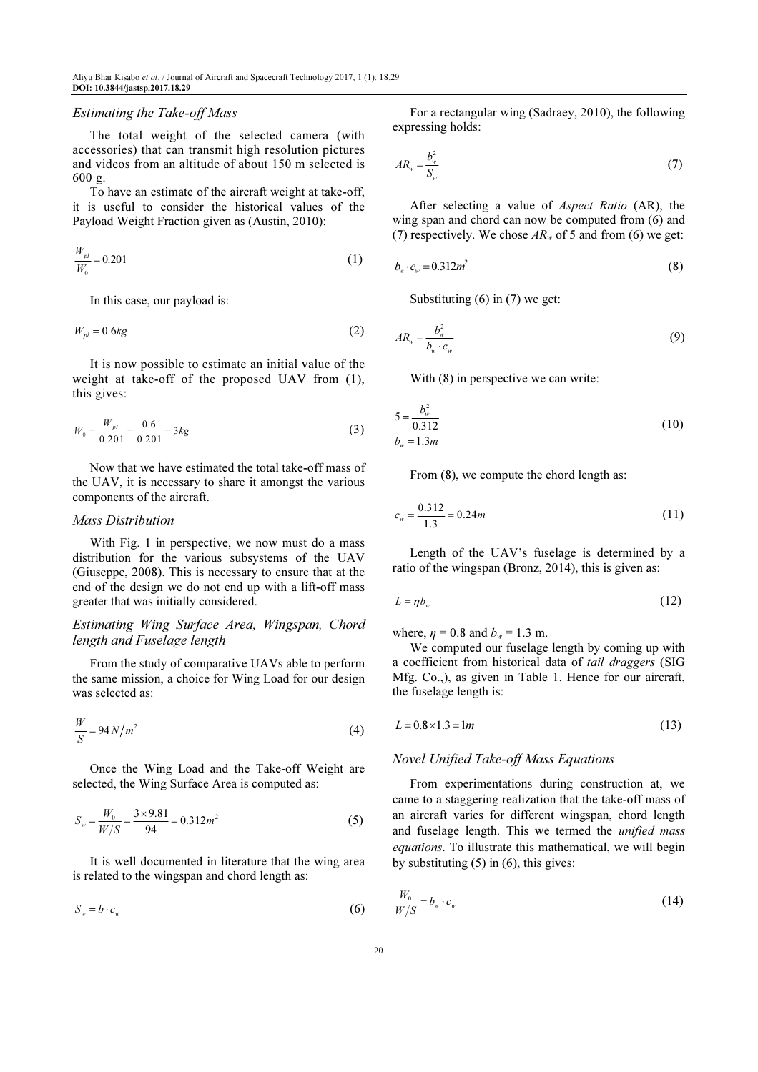#### Estimating the Take-off Mass

The total weight of the selected camera (with accessories) that can transmit high resolution pictures and videos from an altitude of about 150 m selected is 600 g.

To have an estimate of the aircraft weight at take-off, it is useful to consider the historical values of the Payload Weight Fraction given as (Austin, 2010):

$$
\frac{W_{pl}}{W_0} = 0.201\tag{1}
$$

In this case, our payload is:

$$
W_{pl} = 0.6kg \tag{2}
$$

It is now possible to estimate an initial value of the weight at take-off of the proposed UAV from (1), this gives:

$$
W_0 = \frac{W_{pl}}{0.201} = \frac{0.6}{0.201} = 3kg
$$
 (3)

Now that we have estimated the total take-off mass of the UAV, it is necessary to share it amongst the various components of the aircraft.

#### Mass Distribution

With Fig. 1 in perspective, we now must do a mass distribution for the various subsystems of the UAV (Giuseppe, 2008). This is necessary to ensure that at the end of the design we do not end up with a lift-off mass greater that was initially considered.

## Estimating Wing Surface Area, Wingspan, Chord length and Fuselage length

From the study of comparative UAVs able to perform the same mission, a choice for Wing Load for our design was selected as:

$$
\frac{W}{S} = 94 N/m^2 \tag{4}
$$

Once the Wing Load and the Take-off Weight are selected, the Wing Surface Area is computed as:

$$
S_w = \frac{W_0}{W/S} = \frac{3 \times 9.81}{94} = 0.312 m^2 \tag{5}
$$

It is well documented in literature that the wing area is related to the wingspan and chord length as:

$$
S_w = b \cdot c_w \tag{6}
$$

For a rectangular wing (Sadraey, 2010), the following expressing holds:

$$
AR_w = \frac{b_w^2}{S_w} \tag{7}
$$

After selecting a value of Aspect Ratio (AR), the wing span and chord can now be computed from (6) and (7) respectively. We chose  $AR_w$  of 5 and from (6) we get:

$$
b_w \cdot c_w = 0.312m^2 \tag{8}
$$

Substituting (6) in (7) we get:

$$
AR_w = \frac{b_w^2}{b_w \cdot c_w} \tag{9}
$$

With  $(8)$  in perspective we can write:

$$
5 = \frac{b_w^2}{0.312}
$$
  
\n
$$
b_w = 1.3m
$$
\n(10)

From  $(8)$ , we compute the chord length as:

$$
c_w = \frac{0.312}{1.3} = 0.24m\tag{11}
$$

Length of the UAV's fuselage is determined by a ratio of the wingspan (Bronz, 2014), this is given as:

$$
L = \eta b_w \tag{12}
$$

where,  $\eta = 0.8$  and  $b_w = 1.3$  m.

We computed our fuselage length by coming up with a coefficient from historical data of tail draggers (SIG Mfg. Co.,), as given in Table 1. Hence for our aircraft, the fuselage length is:

$$
L = 0.8 \times 1.3 = 1m \tag{13}
$$

## Novel Unified Take-off Mass Equations

From experimentations during construction at, we came to a staggering realization that the take-off mass of an aircraft varies for different wingspan, chord length and fuselage length. This we termed the *unified mass* equations. To illustrate this mathematical, we will begin by substituting  $(5)$  in  $(6)$ , this gives:

$$
\frac{W_0}{W/S} = b_w \cdot c_w \tag{14}
$$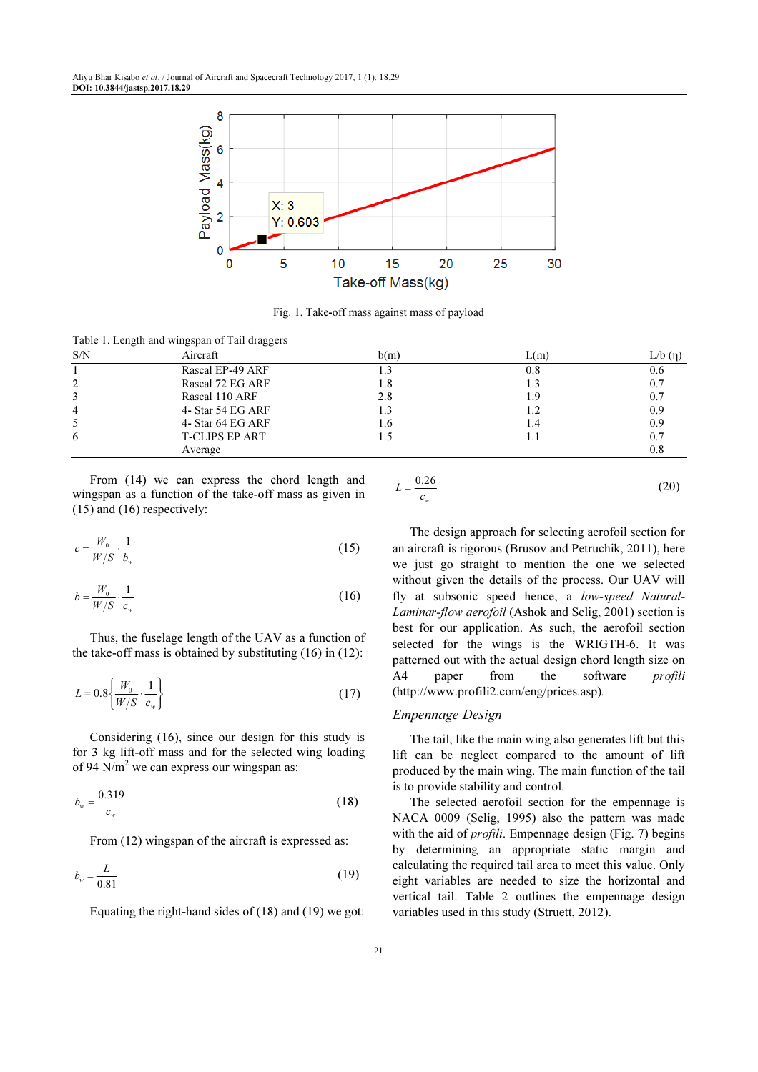

Fig. 1. Take-off mass against mass of payload

Table 1. Length and wingspan of Tail draggers

| . .<br>S/N | ັ<br>ັ<br>Aircraft    | b(m) | L(m)      | $L/b(\eta)$ |
|------------|-----------------------|------|-----------|-------------|
|            | Rascal EP-49 ARF      | ل. ا | $\rm 0.8$ | 0.6         |
| 2          | Rascal 72 EG ARF      | ۱.8  | L3        | 0.7         |
|            | Rascal 110 ARF        | 2.8  | !.9       | 0.7         |
| 4          | 4- Star 54 EG ARF     | 1.3  | l.2       | 0.9         |
|            | 4- Star 64 EG ARF     | 1.6  | 1.4       | 0.9         |
| 6          | <b>T-CLIPS EP ART</b> | L.)  | l.l       | 0.1         |
|            | Average               |      |           | 0.8         |

From (14) we can express the chord length and wingspan as a function of the take-off mass as given in (15) and (16) respectively:

$$
c = \frac{W_0}{W/S} \cdot \frac{1}{b_w} \tag{15}
$$

$$
b = \frac{W_{0}}{W/S} \cdot \frac{1}{c_{w}}
$$
 (16)

Thus, the fuselage length of the UAV as a function of the take-off mass is obtained by substituting (16) in (12):

$$
L = 0.8 \left\{ \frac{W_0}{W/S} \cdot \frac{1}{c_w} \right\} \tag{17}
$$

Considering (16), since our design for this study is for 3 kg lift-off mass and for the selected wing loading of 94  $\frac{N}{m^2}$  we can express our wingspan as:

$$
b_w = \frac{0.319}{c_w} \tag{18}
$$

From  $(12)$  wingspan of the aircraft is expressed as:

$$
b_w = \frac{L}{0.81}
$$
 (19)

Equating the right-hand sides of (18) and (19) we got:

$$
L = \frac{0.26}{c_w} \tag{20}
$$

The design approach for selecting aerofoil section for an aircraft is rigorous (Brusov and Petruchik, 2011), here we just go straight to mention the one we selected without given the details of the process. Our UAV will fly at subsonic speed hence, a low-speed Natural-Laminar-flow aerofoil (Ashok and Selig, 2001) section is best for our application. As such, the aerofoil section selected for the wings is the WRIGTH-6. It was patterned out with the actual design chord length size on A4 paper from the software *profili* (http://www.profili2.com/eng/prices.asp).

## Empennage Design

The tail, like the main wing also generates lift but this lift can be neglect compared to the amount of lift produced by the main wing. The main function of the tail is to provide stability and control.

The selected aerofoil section for the empennage is NACA 0009 (Selig, 1995) also the pattern was made with the aid of *profili*. Empennage design (Fig. 7) begins by determining an appropriate static margin and calculating the required tail area to meet this value. Only eight variables are needed to size the horizontal and vertical tail. Table 2 outlines the empennage design variables used in this study (Struett, 2012).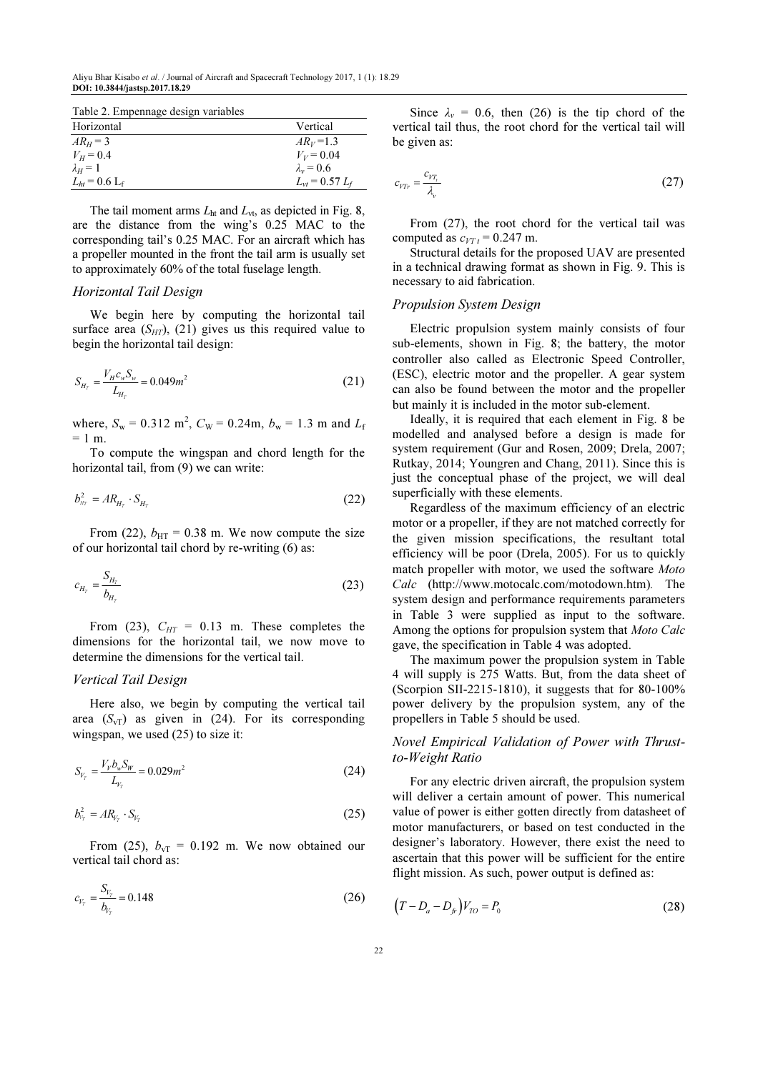Aliyu Bhar Kisabo et al. / Journal of Aircraft and Spacecraft Technology 2017, 1 (1): 18.29 DOI: 10.3844/jastsp.2017.18.29

| Table 2. Empennage design variables |                     |  |  |
|-------------------------------------|---------------------|--|--|
| Horizontal                          | Vertical            |  |  |
| $AR_H = 3$                          | $AR_V = 1.3$        |  |  |
| $V_H = 0.4$                         | $V_V = 0.04$        |  |  |
| $\lambda_H=1$                       | $\lambda_v = 0.6$   |  |  |
| $L_{bt} = 0.6$ L <sub>f</sub>       | $L_{vt} = 0.57 L_f$ |  |  |

The tail moment arms  $L<sub>ht</sub>$  and  $L<sub>vt</sub>$ , as depicted in Fig. 8, are the distance from the wing's 0.25 MAC to the corresponding tail's 0.25 MAC. For an aircraft which has a propeller mounted in the front the tail arm is usually set to approximately 60% of the total fuselage length.

#### Horizontal Tail Design

We begin here by computing the horizontal tail surface area  $(S_{HT})$ , (21) gives us this required value to begin the horizontal tail design:

$$
S_{H_{T}} = \frac{V_{H}c_{w}S_{w}}{L_{H_{T}}} = 0.049m^{2}
$$
\n(21)

where,  $S_w = 0.312 \text{ m}^2$ ,  $C_w = 0.24 \text{m}$ ,  $b_w = 1.3 \text{ m}$  and  $L_f$  $= 1$  m.

To compute the wingspan and chord length for the horizontal tail, from (9) we can write:

$$
b_{H_T}^2 = AR_{H_T} \cdot S_{H_T}
$$
 (22)

From (22),  $b_{\text{HT}}$  = 0.38 m. We now compute the size of our horizontal tail chord by re-writing (6) as:

$$
c_{H_{T}} = \frac{S_{H_{T}}}{b_{H_{T}}} \tag{23}
$$

From (23),  $C_{HT} = 0.13$  m. These completes the dimensions for the horizontal tail, we now move to determine the dimensions for the vertical tail.

#### Vertical Tail Design

Here also, we begin by computing the vertical tail area  $(S_{\text{vT}})$  as given in (24). For its corresponding wingspan, we used (25) to size it:

$$
S_{V_T} = \frac{V_V b_w S_W}{L_{V_T}} = 0.029 m^2
$$
\n(24)

$$
b_{i_{T}}^{2} = AR_{V_{T}} \cdot S_{V_{T}} \tag{25}
$$

From (25),  $b_{\text{vT}} = 0.192$  m. We now obtained our vertical tail chord as:

$$
c_{V_T} = \frac{S_{V_T}}{b_{V_T}} = 0.148
$$
\n(26)

Since  $\lambda_v = 0.6$ , then (26) is the tip chord of the vertical tail thus, the root chord for the vertical tail will be given as:

$$
c_{VTr} = \frac{c_{VTr}}{\lambda_v} \tag{27}
$$

From (27), the root chord for the vertical tail was computed as  $c_{VT}t = 0.247$  m.

Structural details for the proposed UAV are presented in a technical drawing format as shown in Fig. 9. This is necessary to aid fabrication.

#### Propulsion System Design

Electric propulsion system mainly consists of four sub-elements, shown in Fig. 8; the battery, the motor controller also called as Electronic Speed Controller, (ESC), electric motor and the propeller. A gear system can also be found between the motor and the propeller but mainly it is included in the motor sub-element.

Ideally, it is required that each element in Fig. 8 be modelled and analysed before a design is made for system requirement (Gur and Rosen, 2009; Drela, 2007; Rutkay, 2014; Youngren and Chang, 2011). Since this is just the conceptual phase of the project, we will deal superficially with these elements.

Regardless of the maximum efficiency of an electric motor or a propeller, if they are not matched correctly for the given mission specifications, the resultant total efficiency will be poor (Drela, 2005). For us to quickly match propeller with motor, we used the software Moto Calc (http://www.motocalc.com/motodown.htm). The system design and performance requirements parameters in Table 3 were supplied as input to the software. Among the options for propulsion system that Moto Calc gave, the specification in Table 4 was adopted.

The maximum power the propulsion system in Table 4 will supply is 275 Watts. But, from the data sheet of (Scorpion SII-2215-1810), it suggests that for 80-100% power delivery by the propulsion system, any of the propellers in Table 5 should be used.

## Novel Empirical Validation of Power with Thrustto-Weight Ratio

For any electric driven aircraft, the propulsion system will deliver a certain amount of power. This numerical value of power is either gotten directly from datasheet of motor manufacturers, or based on test conducted in the designer's laboratory. However, there exist the need to ascertain that this power will be sufficient for the entire flight mission. As such, power output is defined as:

$$
(T - D_a - D_f) V_{TO} = P_0 \tag{28}
$$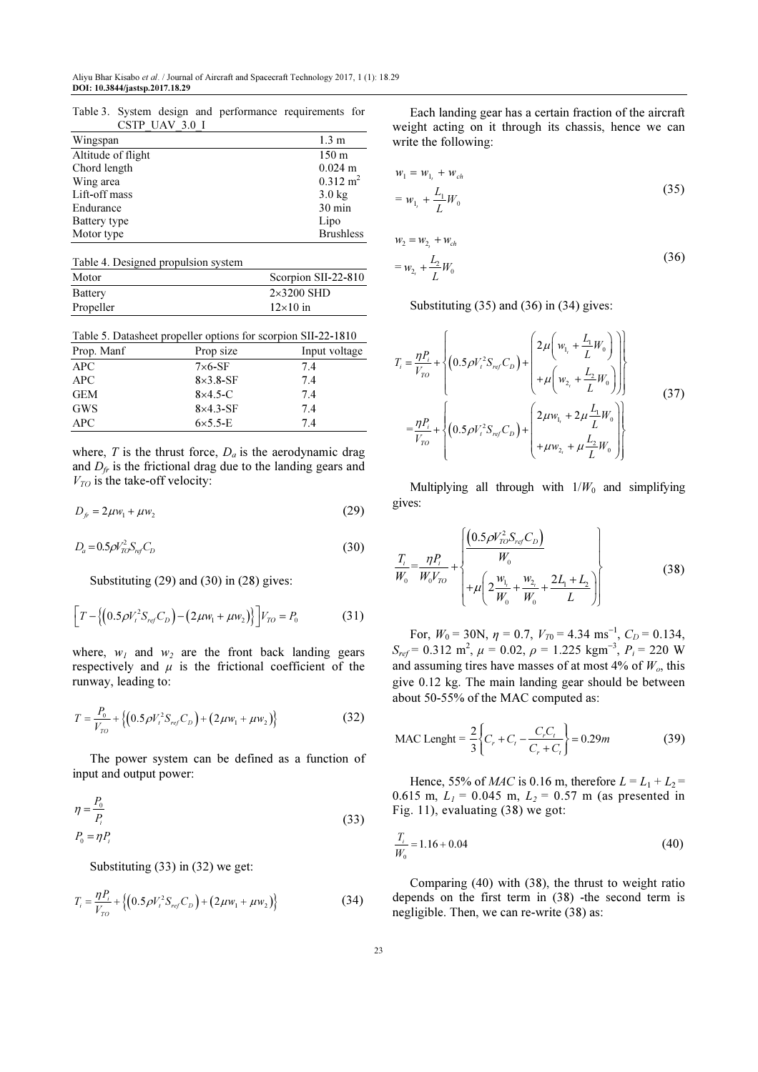Table 3. System design and performance requirements for CSTP\_UAV\_3.0\_I

| Wingspan           | $1.3 \text{ m}$     |
|--------------------|---------------------|
| Altitude of flight | 150 <sub>m</sub>    |
| Chord length       | $0.024 \text{ m}$   |
| Wing area          | $0.312 \text{ m}^2$ |
| Lift-off mass      | $3.0 \text{ kg}$    |
| Endurance          | $30 \text{ min}$    |
| Battery type       | Lipo                |
| Motor type         | <b>Brushless</b>    |

| Table 4. Designed propulsion system |                     |  |  |
|-------------------------------------|---------------------|--|--|
| Motor                               | Scorpion SII-22-810 |  |  |
| Battery                             | $2\times3200$ SHD   |  |  |
| Propeller                           | $12\times10$ in     |  |  |

| Table 5. Datasheet propeller options for scorpion SII-22-1810 |  |  |
|---------------------------------------------------------------|--|--|
|                                                               |  |  |

| Prop. Manf | Prop size         | Input voltage |
|------------|-------------------|---------------|
| <b>APC</b> | $7\times 6$ -SF   | 7.4           |
| APC.       | $8\times3.8-SF$   | 7.4           |
| <b>GEM</b> | $8\times4.5$ -C   | 7.4           |
| GWS        | $8\times4.3-SF$   | 7.4           |
| APC.       | $6\times 5.5 - E$ | 7.4           |

where,  $T$  is the thrust force,  $D_a$  is the aerodynamic drag and  $D_f$  is the frictional drag due to the landing gears and  $V_{TO}$  is the take-off velocity:

$$
D_{fr} = 2\mu w_1 + \mu w_2 \tag{29}
$$

$$
D_a = 0.5 \rho V_{TO}^2 S_{ref} C_D \tag{30}
$$

Substituting (29) and (30) in (28) gives:

$$
\[T - \{(0.5\rho V_t^2 S_{ref} C_D) - (2\mu w_1 + \mu w_2)\}\]V_{TO} = P_0 \tag{31}
$$

where,  $w_1$  and  $w_2$  are the front back landing gears respectively and  $\mu$  is the frictional coefficient of the runway, leading to:

$$
T = \frac{P_0}{V_{TO}} + \left\{ \left( 0.5 \rho V_t^2 S_{ref} C_D \right) + \left( 2 \mu w_1 + \mu w_2 \right) \right\}
$$
 (32)

The power system can be defined as a function of input and output power:

$$
\eta = \frac{P_0}{P_i}
$$
\n
$$
P_0 = \eta P_i
$$
\n(33)

Substituting (33) in (32) we get:

$$
T_i = \frac{\eta P_i}{V_{TO}} + \left\{ \left( 0.5 \rho V_i^2 S_{ref} C_D \right) + \left( 2 \mu w_1 + \mu w_2 \right) \right\}
$$
 (34)

Each landing gear has a certain fraction of the aircraft weight acting on it through its chassis, hence we can write the following:

$$
w_1 = w_{1_t} + w_{ch}
$$
  
=  $w_{1_t} + \frac{L_1}{L}W_0$  (35)

$$
w_2 = w_{2_i} + w_{ch}
$$
  
=  $w_{2_i} + \frac{L_2}{L}W_0$  (36)

Substituting (35) and (36) in (34) gives:

$$
T_{i} = \frac{\eta P_{i}}{V_{TO}} + \left\{ (0.5 \rho V_{i}^{2} S_{ref} C_{D}) + \begin{pmatrix} 2 \mu \left( w_{1_{i}} + \frac{L_{1}}{L} W_{0} \right) \\ + \mu \left( w_{2_{i}} + \frac{L_{2}}{L} W_{0} \right) \end{pmatrix} \right\}
$$
  

$$
= \frac{\eta P_{i}}{V_{TO}} + \left\{ (0.5 \rho V_{i}^{2} S_{ref} C_{D}) + \begin{pmatrix} 2 \mu w_{1_{i}} + 2 \mu \frac{L_{1}}{L} W_{0} \\ + \mu w_{2_{i}} + \mu \frac{L_{2}}{L} W_{0} \end{pmatrix} \right\}
$$
(37)

Multiplying all through with  $1/W_0$  and simplifying gives:

$$
\frac{T_i}{W_0} = \frac{\eta P_i}{W_0 V_{TO}} + \begin{cases}\n\left(\frac{0.5 \rho V_{TO}^2 S_{ref} C_D}{W_0}\right) & \text{(38)} \\
+\mu \left(2 \frac{W_{1_i}}{W_0} + \frac{W_{2_i}}{W_0} + \frac{2L_1 + L_2}{L}\right)\n\end{cases}
$$

For,  $W_0 = 30N$ ,  $\eta = 0.7$ ,  $V_{T0} = 4.34$  ms<sup>-1</sup>,  $C_D = 0.134$ ,  $S_{ref}$  = 0.312 m<sup>2</sup>,  $\mu$  = 0.02,  $\rho$  = 1.225 kgm<sup>-3</sup>,  $P_i$  = 220 W and assuming tires have masses of at most  $4\%$  of  $W_o$ , this give 0.12 kg. The main landing gear should be between about 50-55% of the MAC computed as:

MAC Length = 
$$
\frac{2}{3} \left\{ C_r + C_t - \frac{C_r C_t}{C_r + C_t} \right\} = 0.29m
$$
 (39)

Hence, 55% of MAC is 0.16 m, therefore  $L = L_1 + L_2 =$ 0.615 m,  $L_1 = 0.045$  m,  $L_2 = 0.57$  m (as presented in Fig. 11), evaluating (38) we got:

$$
\frac{T_i}{W_0} = 1.16 + 0.04\tag{40}
$$

Comparing (40) with (38), the thrust to weight ratio depends on the first term in (38) -the second term is negligible. Then, we can re-write (38) as: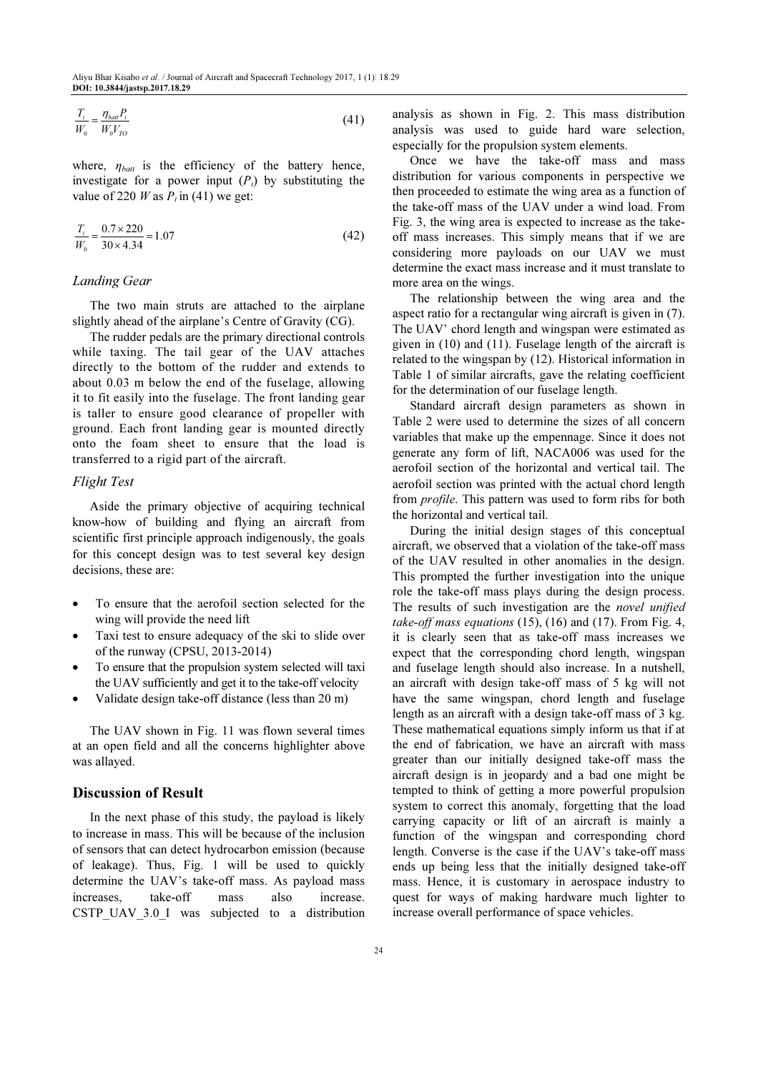$$
\frac{T_i}{W_0} = \frac{\eta_{bat} P_i}{W_0 V_{TO}}\tag{41}
$$

where,  $\eta_{batt}$  is the efficiency of the battery hence, investigate for a power input  $(P_i)$  by substituting the value of 220 W as  $P_i$  in (41) we get:

$$
\frac{T_i}{W_0} = \frac{0.7 \times 220}{30 \times 4.34} = 1.07
$$
\n(42)

#### Landing Gear

The two main struts are attached to the airplane slightly ahead of the airplane's Centre of Gravity (CG).

The rudder pedals are the primary directional controls while taxing. The tail gear of the UAV attaches directly to the bottom of the rudder and extends to about 0.03 m below the end of the fuselage, allowing it to fit easily into the fuselage. The front landing gear is taller to ensure good clearance of propeller with ground. Each front landing gear is mounted directly onto the foam sheet to ensure that the load is transferred to a rigid part of the aircraft.

#### Flight Test

Aside the primary objective of acquiring technical know-how of building and flying an aircraft from scientific first principle approach indigenously, the goals for this concept design was to test several key design decisions, these are:

- To ensure that the aerofoil section selected for the wing will provide the need lift
- Taxi test to ensure adequacy of the ski to slide over of the runway (CPSU, 2013-2014)
- To ensure that the propulsion system selected will taxi the UAV sufficiently and get it to the take-off velocity
- Validate design take-off distance (less than 20 m)

The UAV shown in Fig. 11 was flown several times at an open field and all the concerns highlighter above was allayed.

## Discussion of Result

In the next phase of this study, the payload is likely to increase in mass. This will be because of the inclusion of sensors that can detect hydrocarbon emission (because of leakage). Thus, Fig. 1 will be used to quickly determine the UAV's take-off mass. As payload mass increases, take-off mass also increase. CSTP UAV 3.0 I was subjected to a distribution analysis as shown in Fig. 2. This mass distribution analysis was used to guide hard ware selection, especially for the propulsion system elements.

Once we have the take-off mass and mass distribution for various components in perspective we then proceeded to estimate the wing area as a function of the take-off mass of the UAV under a wind load. From Fig. 3, the wing area is expected to increase as the takeoff mass increases. This simply means that if we are considering more payloads on our UAV we must determine the exact mass increase and it must translate to more area on the wings.

The relationship between the wing area and the aspect ratio for a rectangular wing aircraft is given in (7). The UAV' chord length and wingspan were estimated as given in (10) and (11). Fuselage length of the aircraft is related to the wingspan by (12). Historical information in Table 1 of similar aircrafts, gave the relating coefficient for the determination of our fuselage length.

Standard aircraft design parameters as shown in Table 2 were used to determine the sizes of all concern variables that make up the empennage. Since it does not generate any form of lift, NACA006 was used for the aerofoil section of the horizontal and vertical tail. The aerofoil section was printed with the actual chord length from profile. This pattern was used to form ribs for both the horizontal and vertical tail.

During the initial design stages of this conceptual aircraft, we observed that a violation of the take-off mass of the UAV resulted in other anomalies in the design. This prompted the further investigation into the unique role the take-off mass plays during the design process. The results of such investigation are the *novel unified* take-off mass equations  $(15)$ ,  $(16)$  and  $(17)$ . From Fig. 4, it is clearly seen that as take-off mass increases we expect that the corresponding chord length, wingspan and fuselage length should also increase. In a nutshell, an aircraft with design take-off mass of 5 kg will not have the same wingspan, chord length and fuselage length as an aircraft with a design take-off mass of 3 kg. These mathematical equations simply inform us that if at the end of fabrication, we have an aircraft with mass greater than our initially designed take-off mass the aircraft design is in jeopardy and a bad one might be tempted to think of getting a more powerful propulsion system to correct this anomaly, forgetting that the load carrying capacity or lift of an aircraft is mainly a function of the wingspan and corresponding chord length. Converse is the case if the UAV's take-off mass ends up being less that the initially designed take-off mass. Hence, it is customary in aerospace industry to quest for ways of making hardware much lighter to increase overall performance of space vehicles.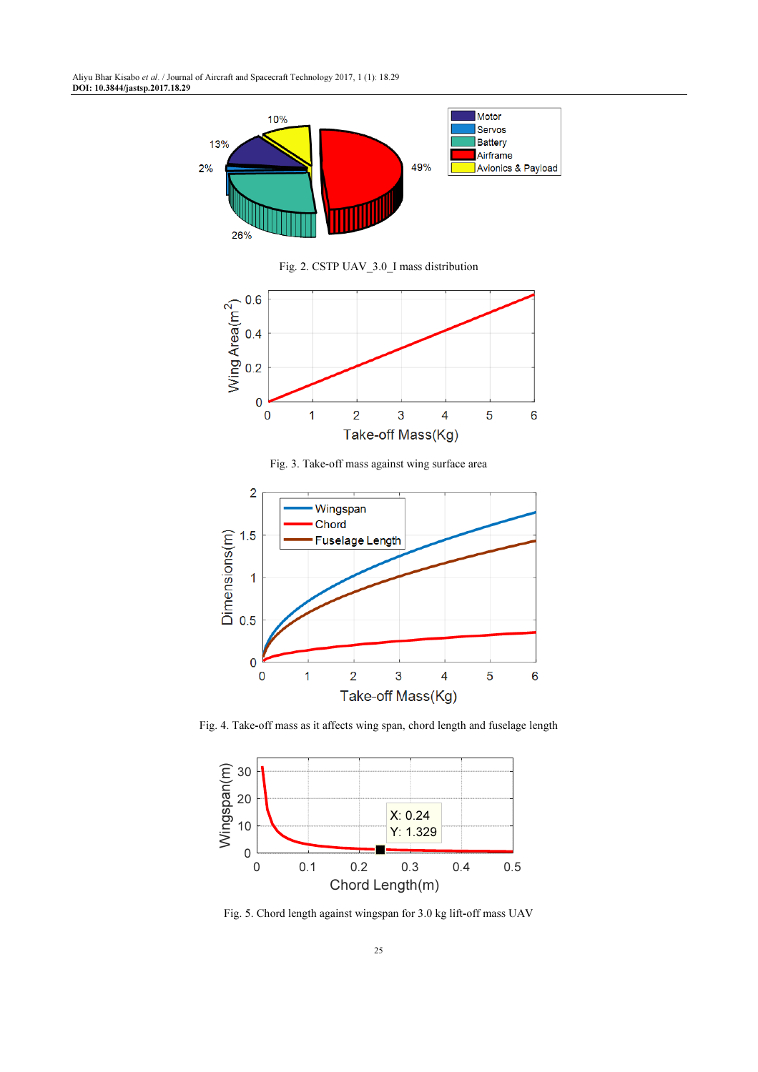Aliyu Bhar Kisabo et al. / Journal of Aircraft and Spacecraft Technology 2017, 1 (1): 18.29 DOI: 10.3844/jastsp.2017.18.29



Fig. 2. CSTP UAV\_3.0\_I mass distribution



Fig. 3. Take-off mass against wing surface area



Fig. 4. Take-off mass as it affects wing span, chord length and fuselage length



Fig. 5. Chord length against wingspan for 3.0 kg lift-off mass UAV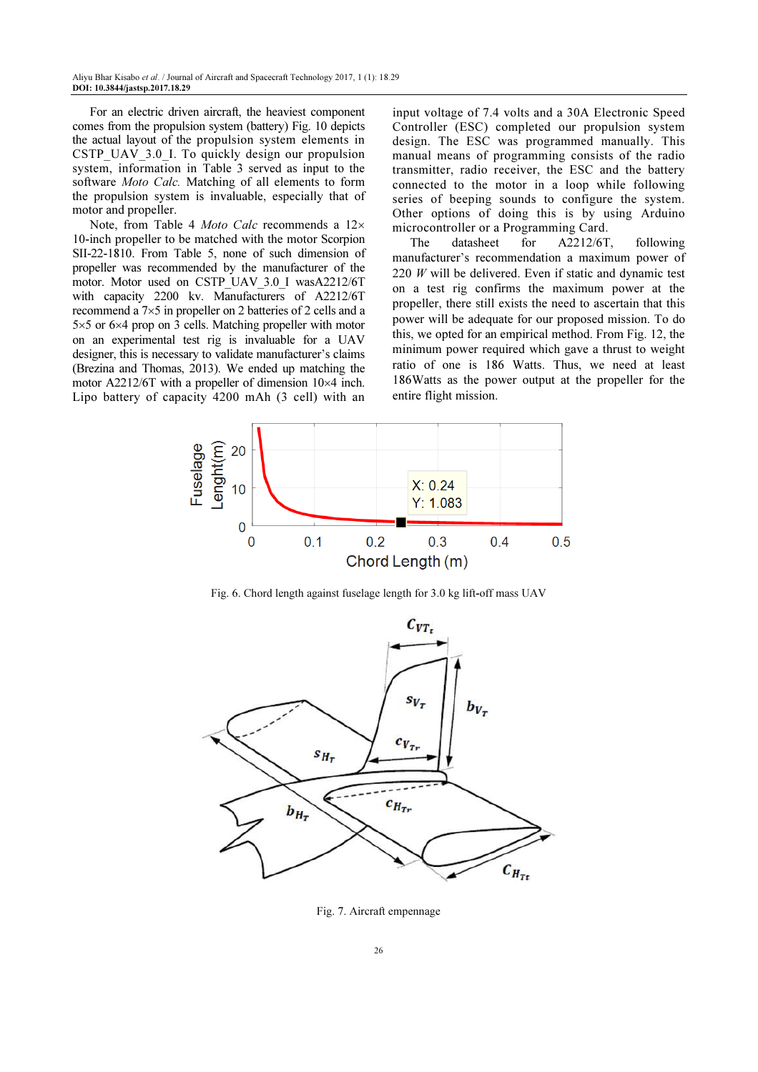For an electric driven aircraft, the heaviest component comes from the propulsion system (battery) Fig. 10 depicts the actual layout of the propulsion system elements in CSTP UAV 3.0 I. To quickly design our propulsion system, information in Table 3 served as input to the software Moto Calc. Matching of all elements to form the propulsion system is invaluable, especially that of motor and propeller.

Note, from Table 4 *Moto Calc* recommends a  $12\times$ 10-inch propeller to be matched with the motor Scorpion SII-22-1810. From Table 5, none of such dimension of propeller was recommended by the manufacturer of the motor. Motor used on CSTP\_UAV\_3.0\_I wasA2212/6T with capacity 2200 kv. Manufacturers of A2212/6T recommend a 7×5 in propeller on 2 batteries of 2 cells and a 5×5 or 6×4 prop on 3 cells. Matching propeller with motor on an experimental test rig is invaluable for a UAV designer, this is necessary to validate manufacturer's claims (Brezina and Thomas, 2013). We ended up matching the motor A2212/6T with a propeller of dimension 10×4 inch. Lipo battery of capacity 4200 mAh (3 cell) with an

input voltage of 7.4 volts and a 30A Electronic Speed Controller (ESC) completed our propulsion system design. The ESC was programmed manually. This manual means of programming consists of the radio transmitter, radio receiver, the ESC and the battery connected to the motor in a loop while following series of beeping sounds to configure the system. Other options of doing this is by using Arduino microcontroller or a Programming Card.

The datasheet for A2212/6T, following manufacturer's recommendation a maximum power of 220  $W$  will be delivered. Even if static and dynamic test on a test rig confirms the maximum power at the propeller, there still exists the need to ascertain that this power will be adequate for our proposed mission. To do this, we opted for an empirical method. From Fig. 12, the minimum power required which gave a thrust to weight ratio of one is 186 Watts. Thus, we need at least 186Watts as the power output at the propeller for the entire flight mission.



Fig. 6. Chord length against fuselage length for 3.0 kg lift-off mass UAV



Fig. 7. Aircraft empennage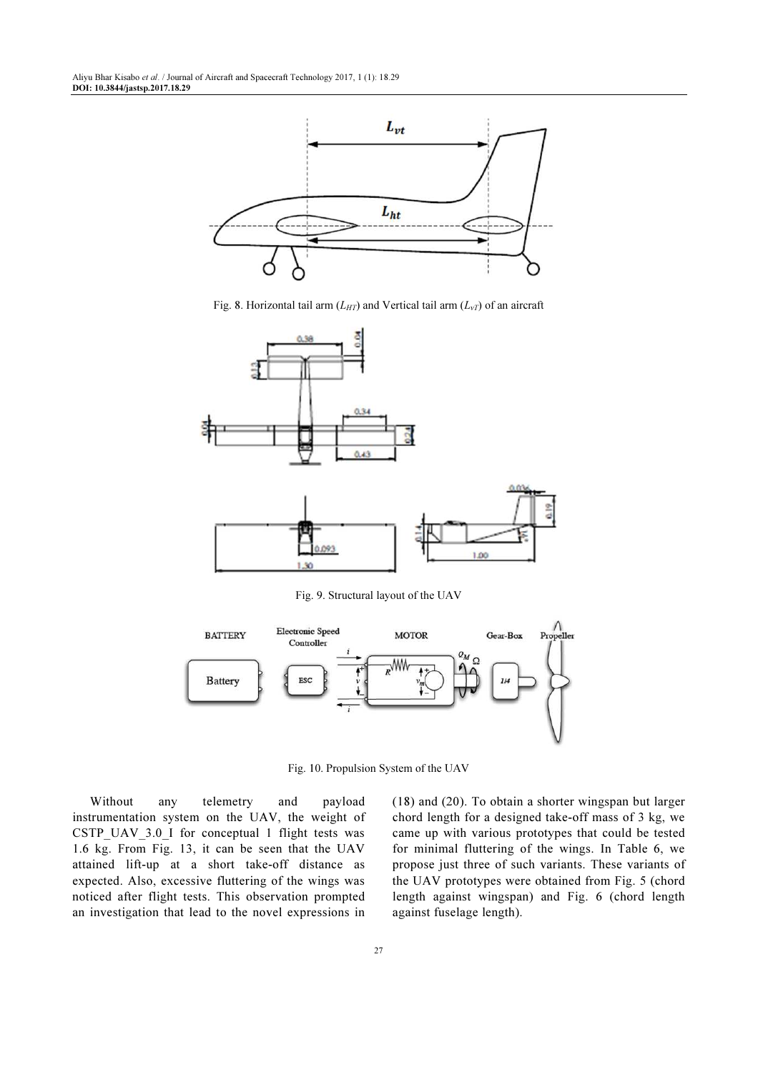

Fig. 8. Horizontal tail arm  $(L_{HT})$  and Vertical tail arm  $(L_{vT})$  of an aircraft



Fig. 9. Structural layout of the UAV



Fig. 10. Propulsion System of the UAV

Without any telemetry and payload instrumentation system on the UAV, the weight of CSTP\_UAV\_3.0\_I for conceptual 1 flight tests was 1.6 kg. From Fig. 13, it can be seen that the UAV attained lift-up at a short take-off distance as expected. Also, excessive fluttering of the wings was noticed after flight tests. This observation prompted an investigation that lead to the novel expressions in (18) and (20). To obtain a shorter wingspan but larger chord length for a designed take-off mass of 3 kg, we came up with various prototypes that could be tested for minimal fluttering of the wings. In Table 6, we propose just three of such variants. These variants of the UAV prototypes were obtained from Fig. 5 (chord length against wingspan) and Fig. 6 (chord length against fuselage length).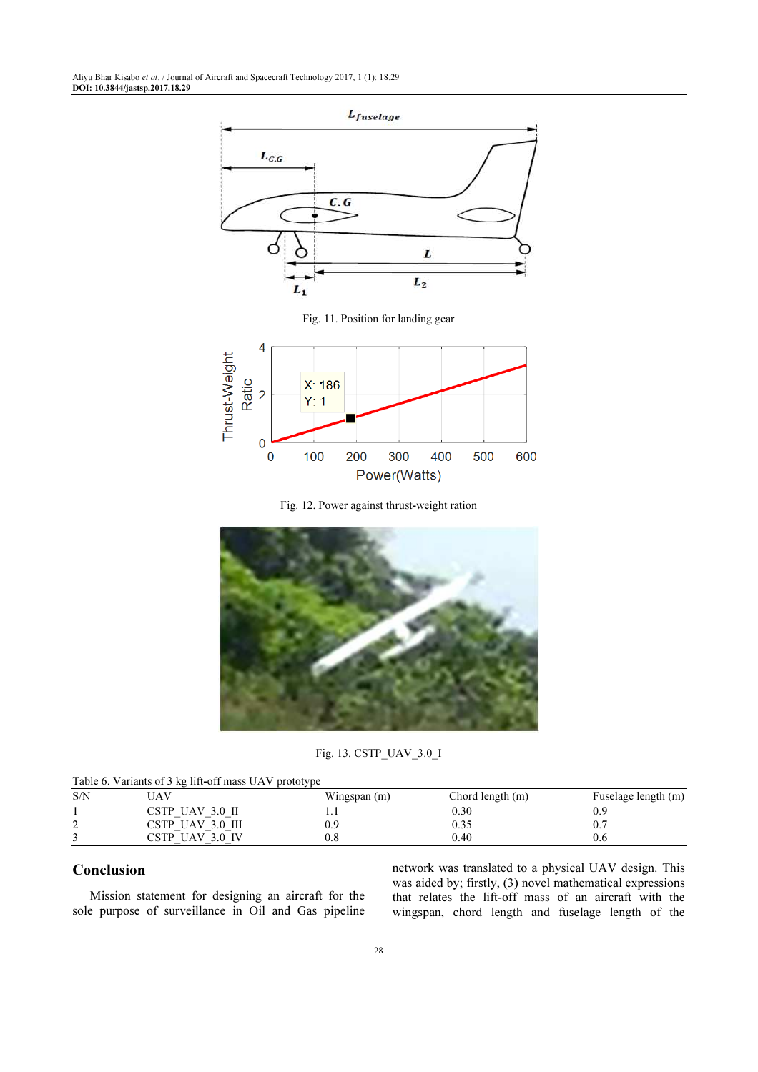Aliyu Bhar Kisabo et al. / Journal of Aircraft and Spacecraft Technology 2017, 1 (1): 18.29 DOI: 10.3844/jastsp.2017.18.29



Fig. 12. Power against thrust-weight ration



Fig. 13. CSTP\_UAV\_3.0\_I

| S/N    | JAV.                                                     | Wingspan (m) | Chord length (m) | Fuselage length (m) |
|--------|----------------------------------------------------------|--------------|------------------|---------------------|
|        | <b>UAV</b><br>3.0 II<br>_                                | 1.1          | 0.30             | 0.9                 |
| ◠<br>∼ | STP_<br><b>UAV 3.0 III</b>                               | J.9          | v.JJ             | 0.7                 |
| ⌒<br>◡ | 3.0 IV<br>'CTP<br>UAV<br>$\overline{\phantom{0}}$<br>$-$ |              | 0.40             | 0.6                 |

# Conclusion

Mission statement for designing an aircraft for the sole purpose of surveillance in Oil and Gas pipeline network was translated to a physical UAV design. This was aided by; firstly, (3) novel mathematical expressions that relates the lift-off mass of an aircraft with the wingspan, chord length and fuselage length of the